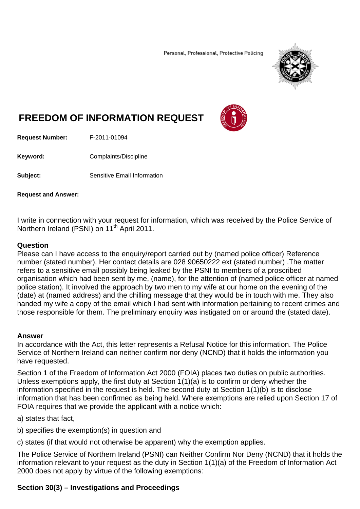Personal, Professional, Protective Policing



# **FREEDOM OF INFORMATION REQUEST**



**Request Number:** F-2011-01094

**Keyword: Complaints/Discipline** 

**Subject:** Sensitive Email Information

**Request and Answer:** 

I write in connection with your request for information, which was received by the Police Service of Northern Ireland (PSNI) on 11<sup>th</sup> April 2011.

#### **Question**

Please can I have access to the enquiry/report carried out by (named police officer) Reference number (stated number). Her contact details are 028 90650222 ext (stated number) .The matter refers to a sensitive email possibly being leaked by the PSNI to members of a proscribed organisation which had been sent by me, (name), for the attention of (named police officer at named police station). It involved the approach by two men to my wife at our home on the evening of the (date) at (named address) and the chilling message that they would be in touch with me. They also handed my wife a copy of the email which I had sent with information pertaining to recent crimes and those responsible for them. The preliminary enquiry was instigated on or around the (stated date).

#### **Answer**

In accordance with the Act, this letter represents a Refusal Notice for this information. The Police Service of Northern Ireland can neither confirm nor deny (NCND) that it holds the information you have requested.

Section 1 of the Freedom of Information Act 2000 (FOIA) places two duties on public authorities. Unless exemptions apply, the first duty at Section 1(1)(a) is to confirm or deny whether the information specified in the request is held. The second duty at Section 1(1)(b) is to disclose information that has been confirmed as being held. Where exemptions are relied upon Section 17 of FOIA requires that we provide the applicant with a notice which:

a) states that fact,

b) specifies the exemption(s) in question and

c) states (if that would not otherwise be apparent) why the exemption applies.

The Police Service of Northern Ireland (PSNI) can Neither Confirm Nor Deny (NCND) that it holds the information relevant to your request as the duty in Section 1(1)(a) of the Freedom of Information Act 2000 does not apply by virtue of the following exemptions:

# **Section 30(3) – Investigations and Proceedings**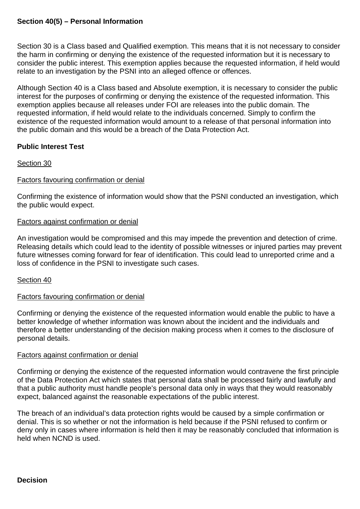## **Section 40(5) – Personal Information**

Section 30 is a Class based and Qualified exemption. This means that it is not necessary to consider the harm in confirming or denying the existence of the requested information but it is necessary to consider the public interest. This exemption applies because the requested information, if held would relate to an investigation by the PSNI into an alleged offence or offences.

Although Section 40 is a Class based and Absolute exemption, it is necessary to consider the public interest for the purposes of confirming or denying the existence of the requested information. This exemption applies because all releases under FOI are releases into the public domain. The requested information, if held would relate to the individuals concerned. Simply to confirm the existence of the requested information would amount to a release of that personal information into the public domain and this would be a breach of the Data Protection Act.

## **Public Interest Test**

#### Section 30

#### Factors favouring confirmation or denial

Confirming the existence of information would show that the PSNI conducted an investigation, which the public would expect.

#### Factors against confirmation or denial

An investigation would be compromised and this may impede the prevention and detection of crime. Releasing details which could lead to the identity of possible witnesses or injured parties may prevent future witnesses coming forward for fear of identification. This could lead to unreported crime and a loss of confidence in the PSNI to investigate such cases.

Section 40

#### Factors favouring confirmation or denial

Confirming or denying the existence of the requested information would enable the public to have a better knowledge of whether information was known about the incident and the individuals and therefore a better understanding of the decision making process when it comes to the disclosure of personal details.

#### Factors against confirmation or denial

Confirming or denying the existence of the requested information would contravene the first principle of the Data Protection Act which states that personal data shall be processed fairly and lawfully and that a public authority must handle people's personal data only in ways that they would reasonably expect, balanced against the reasonable expectations of the public interest.

The breach of an individual's data protection rights would be caused by a simple confirmation or denial. This is so whether or not the information is held because if the PSNI refused to confirm or deny only in cases where information is held then it may be reasonably concluded that information is held when NCND is used.